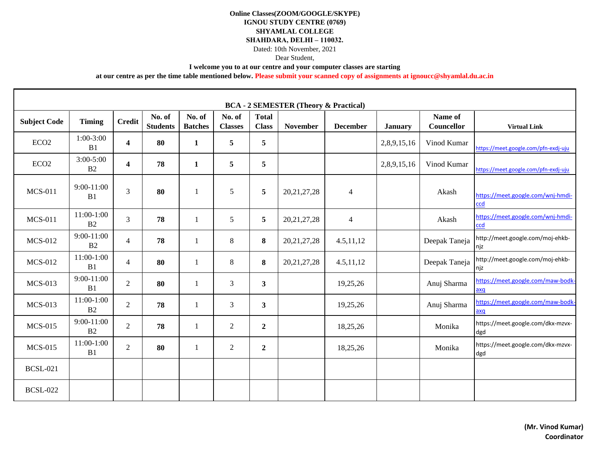## **I welcome you to at our centre and your computer classes are starting**

| <b>BCA - 2 SEMESTER (Theory &amp; Practical)</b> |                                |                         |                           |                          |                          |                              |                 |                 |                |                       |                                          |
|--------------------------------------------------|--------------------------------|-------------------------|---------------------------|--------------------------|--------------------------|------------------------------|-----------------|-----------------|----------------|-----------------------|------------------------------------------|
| <b>Subject Code</b>                              | <b>Timing</b>                  | <b>Credit</b>           | No. of<br><b>Students</b> | No. of<br><b>Batches</b> | No. of<br><b>Classes</b> | <b>Total</b><br><b>Class</b> | <b>November</b> | <b>December</b> | <b>January</b> | Name of<br>Councellor | <b>Virtual Link</b>                      |
| ECO <sub>2</sub>                                 | $1:00-3:00$<br>B1              | $\overline{\mathbf{4}}$ | 80                        | $\mathbf{1}$             | 5                        | 5                            |                 |                 | 2,8,9,15,16    | Vinod Kumar           | https://meet.google.com/pfn-exdj-uju     |
| ECO <sub>2</sub>                                 | $3:00 - 5:00$<br>B2            | $\overline{\mathbf{4}}$ | 78                        | 1                        | 5                        | 5                            |                 |                 | 2,8,9,15,16    | Vinod Kumar           | https://meet.google.com/pfn-exdj-uju     |
| <b>MCS-011</b>                                   | $9:00-11:00$<br>B1             | 3                       | 80                        | $\mathbf{1}$             | 5                        | 5                            | 20, 21, 27, 28  | $\overline{4}$  |                | Akash                 | https://meet.google.com/wnj-hmdi-<br>ccd |
| <b>MCS-011</b>                                   | 11:00-1:00<br>B2               | $\overline{3}$          | 78                        | 1                        | 5                        | 5                            | 20, 21, 27, 28  | $\overline{4}$  |                | Akash                 | https://meet.google.com/wnj-hmdi-<br>ccd |
| <b>MCS-012</b>                                   | $9:00 - 11:00$<br>B2           | $\overline{4}$          | 78                        | $\mathbf{1}$             | 8                        | 8                            | 20, 21, 27, 28  | 4.5, 11, 12     |                | Deepak Taneja         | http://meet.google.com/moj-ehkb-<br>njz  |
| <b>MCS-012</b>                                   | 11:00-1:00<br>B1               | $\overline{4}$          | 80                        | 1                        | 8                        | 8                            | 20, 21, 27, 28  | 4.5, 11, 12     |                | Deepak Taneja         | http://meet.google.com/moj-ehkb-<br>njz  |
| <b>MCS-013</b>                                   | $9:00-11:00$<br>B1             | $\overline{2}$          | 80                        | 1                        | 3                        | $\mathbf{3}$                 |                 | 19,25,26        |                | Anuj Sharma           | https://meet.google.com/maw-bodk-<br>axq |
| <b>MCS-013</b>                                   | $11:00-1:00$<br>B <sub>2</sub> | $\overline{2}$          | 78                        | $\mathbf{1}$             | $\overline{3}$           | $\mathbf{3}$                 |                 | 19,25,26        |                | Anuj Sharma           | https://meet.google.com/maw-bodk-<br>axq |
| <b>MCS-015</b>                                   | 9:00-11:00<br>B2               | $\overline{2}$          | 78                        | 1                        | $\overline{2}$           | $\overline{2}$               |                 | 18,25,26        |                | Monika                | https://meet.google.com/dkx-mzvx-<br>dgd |
| <b>MCS-015</b>                                   | 11:00-1:00<br>B1               | $\overline{2}$          | 80                        | 1                        | $\overline{2}$           | $\overline{2}$               |                 | 18,25,26        |                | Monika                | https://meet.google.com/dkx-mzvx-<br>dgd |
| <b>BCSL-021</b>                                  |                                |                         |                           |                          |                          |                              |                 |                 |                |                       |                                          |
| <b>BCSL-022</b>                                  |                                |                         |                           |                          |                          |                              |                 |                 |                |                       |                                          |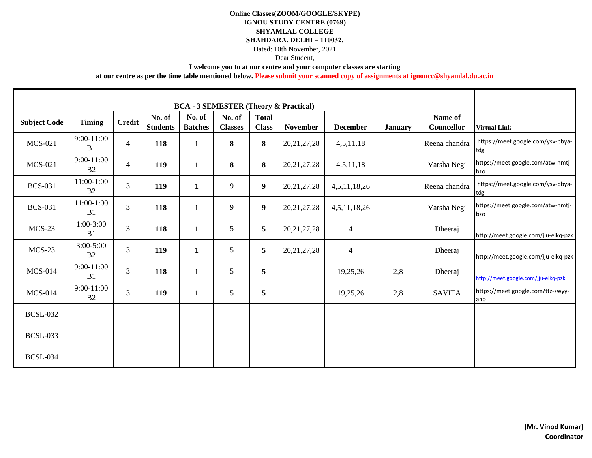# Dear Student,

**I welcome you to at our centre and your computer classes are starting** 

| <b>Subject Code</b> | <b>Timing</b>                    | <b>Credit</b>  | No. of<br><b>Students</b> | No. of<br><b>Batches</b> | No. of<br><b>Classes</b> | <b>Total</b><br><b>Class</b> | <b>November</b> | <b>December</b> | <b>January</b> | Name of<br>Councellor | <b>Virtual Link</b>                      |
|---------------------|----------------------------------|----------------|---------------------------|--------------------------|--------------------------|------------------------------|-----------------|-----------------|----------------|-----------------------|------------------------------------------|
| <b>MCS-021</b>      | $9:00-11:00$<br>B <sub>1</sub>   | $\overline{4}$ | 118                       | $\mathbf{1}$             | 8                        | 8                            | 20, 21, 27, 28  | 4,5,11,18       |                | Reena chandra         | https://meet.google.com/ysv-pbya-<br>tdg |
| <b>MCS-021</b>      | $9:00-11:00$<br>B <sub>2</sub>   | $\overline{4}$ | 119                       | $\mathbf{1}$             | 8                        | 8                            | 20, 21, 27, 28  | 4,5,11,18       |                | Varsha Negi           | https://meet.google.com/atw-nmtj-<br>bzo |
| <b>BCS-031</b>      | $11:00-1:00$<br>B2               | $\overline{3}$ | 119                       | 1                        | 9                        | $\boldsymbol{9}$             | 20, 21, 27, 28  | 4,5,11,18,26    |                | Reena chandra         | https://meet.google.com/ysv-pbya-<br>tdg |
| <b>BCS-031</b>      | $11:00-1:00$<br>B1               | $\overline{3}$ | 118                       | 1                        | 9                        | 9                            | 20, 21, 27, 28  | 4,5,11,18,26    |                | Varsha Negi           | https://meet.google.com/atw-nmtj-<br>bzo |
| $MCS-23$            | $1:00-3:00$<br>B1                | $\overline{3}$ | 118                       | 1                        | 5                        | 5                            | 20, 21, 27, 28  | 4               |                | Dheeraj               | http://meet.google.com/jju-eikq-pzk      |
| $MCS-23$            | $3:00 - 5:00$<br>B <sub>2</sub>  | $\overline{3}$ | 119                       | $\mathbf{1}$             | 5                        | 5                            | 20, 21, 27, 28  | 4               |                | Dheeraj               | http://meet.google.com/jju-eikq-pzk      |
| <b>MCS-014</b>      | $9:00 - 11:00$<br>B1             | $\overline{3}$ | 118                       | $\mathbf{1}$             | 5                        | 5                            |                 | 19,25,26        | 2,8            | Dheeraj               | http://meet.google.com/jju-eikq-pzk      |
| <b>MCS-014</b>      | $9:00 - 11:00$<br>B <sub>2</sub> | $\overline{3}$ | 119                       | $\mathbf{1}$             | 5                        | 5                            |                 | 19,25,26        | 2,8            | <b>SAVITA</b>         | https://meet.google.com/ttz-zwyy-<br>ano |
| <b>BCSL-032</b>     |                                  |                |                           |                          |                          |                              |                 |                 |                |                       |                                          |
| <b>BCSL-033</b>     |                                  |                |                           |                          |                          |                              |                 |                 |                |                       |                                          |
| <b>BCSL-034</b>     |                                  |                |                           |                          |                          |                              |                 |                 |                |                       |                                          |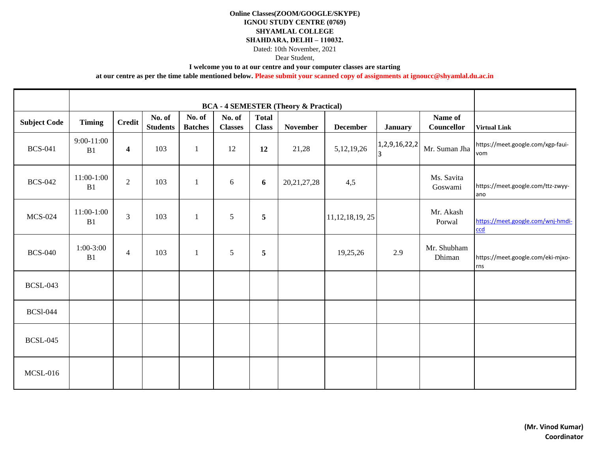## **I welcome you to at our centre and your computer classes are starting**

| <b>Subject Code</b> | <b>Timing</b>      | <b>Credit</b>           | No. of<br><b>Students</b> | No. of<br><b>Batches</b> | No. of<br><b>Classes</b> | <b>Total</b><br><b>Class</b> | <b>November</b> | <b>December</b>    | <b>January</b>      | Name of<br>Councellor | <b>Virtual Link</b>                      |
|---------------------|--------------------|-------------------------|---------------------------|--------------------------|--------------------------|------------------------------|-----------------|--------------------|---------------------|-----------------------|------------------------------------------|
| <b>BCS-041</b>      | $9:00-11:00$<br>B1 | $\overline{\mathbf{4}}$ | 103                       | $\mathbf{1}$             | 12                       | 12                           | 21,28           | 5, 12, 19, 26      | 1,2,9,16,22,2<br>13 | Mr. Suman Jha         | https://meet.google.com/xgp-faui-<br>vom |
| <b>BCS-042</b>      | $11:00-1:00$<br>B1 | $\overline{2}$          | 103                       | $\mathbf{1}$             | 6                        | 6                            | 20, 21, 27, 28  | 4,5                |                     | Ms. Savita<br>Goswami | https://meet.google.com/ttz-zwyy-<br>ano |
| <b>MCS-024</b>      | $11:00-1:00$<br>B1 | $\overline{3}$          | 103                       | $\mathbf{1}$             | 5                        | $\overline{5}$               |                 | 11, 12, 18, 19, 25 |                     | Mr. Akash<br>Porwal   | https://meet.google.com/wnj-hmdi-<br>ccd |
| <b>BCS-040</b>      | $1:00-3:00$<br>B1  | $\overline{4}$          | 103                       | $\mathbf{1}$             | $\mathfrak{S}$           | 5                            |                 | 19,25,26           | 2.9                 | Mr. Shubham<br>Dhiman | https://meet.google.com/eki-mjxo-<br>rns |
| <b>BCSL-043</b>     |                    |                         |                           |                          |                          |                              |                 |                    |                     |                       |                                          |
| <b>BCS1-044</b>     |                    |                         |                           |                          |                          |                              |                 |                    |                     |                       |                                          |
| <b>BCSL-045</b>     |                    |                         |                           |                          |                          |                              |                 |                    |                     |                       |                                          |
| <b>MCSL-016</b>     |                    |                         |                           |                          |                          |                              |                 |                    |                     |                       |                                          |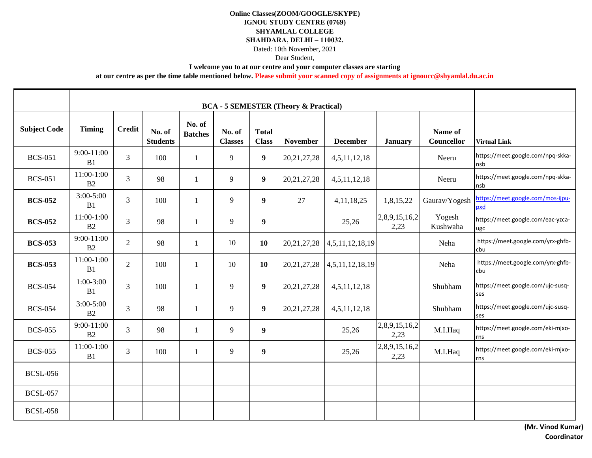## **I welcome you to at our centre and your computer classes are starting**

| <b>Subject Code</b> | <b>Timing</b>                   | <b>Credit</b>  | No. of<br><b>Students</b> | No. of<br><b>Batches</b> | No. of<br><b>Classes</b> | <b>Total</b><br><b>Class</b> | <b>November</b> | <b>December</b> | <b>January</b>        | Name of<br>Councellor | <b>Virtual Link</b>                      |
|---------------------|---------------------------------|----------------|---------------------------|--------------------------|--------------------------|------------------------------|-----------------|-----------------|-----------------------|-----------------------|------------------------------------------|
| <b>BCS-051</b>      | 9:00-11:00<br>B1                | 3              | 100                       | 1                        | 9                        | 9                            | 20, 21, 27, 28  | 4,5,11,12,18    |                       | Neeru                 | https://meet.google.com/npq-skka-<br>nsb |
| <b>BCS-051</b>      | $11:00-1:00$<br>B2              | $\overline{3}$ | 98                        | $\mathbf{1}$             | 9                        | $\boldsymbol{9}$             | 20, 21, 27, 28  | 4,5,11,12,18    |                       | Neeru                 | https://meet.google.com/npq-skka-<br>nsb |
| <b>BCS-052</b>      | $3:00 - 5:00$<br>B1             | $\overline{3}$ | 100                       | $\mathbf{1}$             | 9                        | $\boldsymbol{9}$             | 27              | 4, 11, 18, 25   | 1,8,15,22             | Gaurav/Yogesh         | https://meet.google.com/mos-ijpu-<br>pxd |
| <b>BCS-052</b>      | 11:00-1:00<br>B <sub>2</sub>    | $\overline{3}$ | 98                        | 1                        | 9                        | $\boldsymbol{9}$             |                 | 25,26           | 2,8,9,15,16,2<br>2,23 | Yogesh<br>Kushwaha    | https://meet.google.com/eac-yzca-<br>ugc |
| <b>BCS-053</b>      | 9:00-11:00<br>B2                | $\overline{2}$ | 98                        | $\mathbf{1}$             | 10                       | 10                           | 20, 21, 27, 28  | 4,5,11,12,18,19 |                       | Neha                  | https://meet.google.com/yrx-ghfb-<br>cbu |
| <b>BCS-053</b>      | $11:00-1:00$<br>B1              | $\overline{2}$ | 100                       | 1                        | 10                       | 10                           | 20, 21, 27, 28  | 4,5,11,12,18,19 |                       | Neha                  | https://meet.google.com/yrx-ghfb-<br>cbu |
| <b>BCS-054</b>      | $1:00-3:00$<br>B1               | $\overline{3}$ | 100                       | $\mathbf{1}$             | 9                        | $\boldsymbol{9}$             | 20, 21, 27, 28  | 4,5,11,12,18    |                       | Shubham               | https://meet.google.com/ujc-susq-<br>ses |
| <b>BCS-054</b>      | $3:00 - 5:00$<br>B <sub>2</sub> | $\overline{3}$ | 98                        | 1                        | 9                        | $\boldsymbol{9}$             | 20, 21, 27, 28  | 4,5,11,12,18    |                       | Shubham               | https://meet.google.com/ujc-susq-<br>ses |
| <b>BCS-055</b>      | 9:00-11:00<br>B2                | $\overline{3}$ | 98                        | $\mathbf{1}$             | 9                        | 9                            |                 | 25,26           | 2,8,9,15,16,2<br>2,23 | M.I.Haq               | https://meet.google.com/eki-mjxo-<br>rns |
| <b>BCS-055</b>      | $11:00-1:00$<br>B1              | 3              | 100                       | 1                        | 9                        | 9                            |                 | 25,26           | 2,8,9,15,16,2<br>2,23 | M.I.Haq               | https://meet.google.com/eki-mjxo-<br>rns |
| <b>BCSL-056</b>     |                                 |                |                           |                          |                          |                              |                 |                 |                       |                       |                                          |
| <b>BCSL-057</b>     |                                 |                |                           |                          |                          |                              |                 |                 |                       |                       |                                          |
| <b>BCSL-058</b>     |                                 |                |                           |                          |                          |                              |                 |                 |                       |                       |                                          |